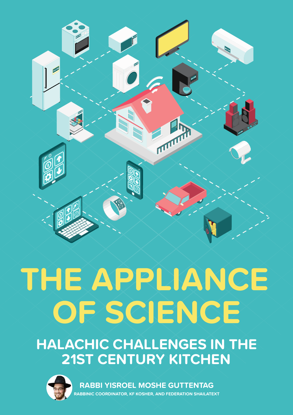

## **THE APPLIANCE OF SCIENCE**

**HALACHIC CHALLENGES IN THE 21ST CENTURY KITCHEN**



**RABBI YISROEL MOSHE GUTTENTAG RABBINIC COORDINATOR, KF KOSHER, AND FEDERATION SHAILATEXT**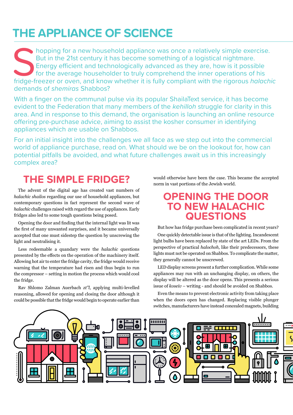#### **THE APPLIANCE OF SCIENCE**

Shopping for a new household appliance was once a relatively simple exercise.<br>But in the 21st century it has become something of a logistical nightmare.<br>Energy efficient and technologically advanced as they are, how is it But in the 21st century it has become something of a logistical nightmare. Energy efficient and technologically advanced as they are, how is it possible for the average householder to truly comprehend the inner operations of his fridge-freezer or oven, and know whether it is fully compliant with the rigorous *halachic*  demands of *shemiras* Shabbos?

With a finger on the communal pulse via its popular ShailaText service, it has become evident to the Federation that many members of the *kehilloh* struggle for clarity in this area. And in response to this demand, the organisation is launching an online resource offering pre-purchase advice, aiming to assist the kosher consumer in identifying appliances which are usable on Shabbos.

For an initial insight into the challenges we all face as we step out into the commercial world of appliance purchase, read on. What should we be on the lookout for, how can potential pitfalls be avoided, and what future challenges await us in this increasingly complex area?

#### **THE SIMPLE FRIDGE?**

The advent of the digital age has created vast numbers of *halachic shailos* regarding our use of household appliances, but contemporary questions in fact represent the second wave of *halachic* challenges raised with regard the use of appliances. Early fridges also led to some tough questions being posed.

Opening the door and finding that the internal light was lit was the first of many unwanted surprises, and it became universally accepted that one must sidestep the question by unscrewing the light and neutralising it.

Less redeemable a quandary were the *halachic* questions presented by the effects on the operation of the machinery itself. Allowing hot air to enter the fridge cavity, the fridge would receive warning that the temperature had risen and thus begin to run the compressor – setting in motion the process which would cool the fridge.

Rav Shlomo Zalman Auerbach *zt"l*, applying multi-levelled reasoning, allowed for opening and closing the door although it could be possible that the fridge would begin to operate earlier than

would otherwise have been the case. This became the accepted norm in vast portions of the Jewish world.

#### **OPENING THE DOOR TO NEW HALACHIC QUESTIONS**

But how has fridge purchase been complicated in recent years?

One quickly detectable issue is that of the lighting. Incandescent light bulbs have been replaced by state of the art LEDs. From the perspective of practical *halochoh,* like their predecessors, these lights must not be operated on Shabbos. To complicate the matter, they generally cannot be unscrewed.

LED display screens present a further complication. While some appliances may run with an unchanging display, on others, the display will be altered as the door opens. This presents a serious issue of *koseiv* – writing - and should be avoided on Shabbos.

Even the means to prevent electronic activity from taking place when the doors open has changed. Replacing visible plunger switches, manufacturers have instead concealed magnets, building

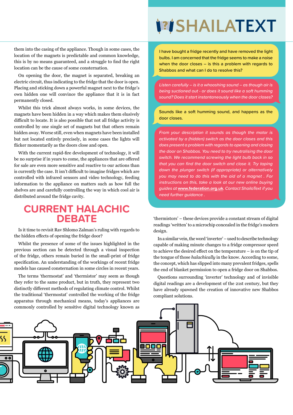them into the casing of the appliance. Though in some cases, the location of the magnets is predictable and common knowledge, this is by no means guaranteed, and a struggle to find the right location can be the cause of some consternation.

On opening the door, the magnet is separated, breaking an electric circuit, thus indicating to the fridge that the door is open. Placing and sticking down a powerful magnet next to the fridge's own hidden one will convince the appliance that it is in fact permanently closed.

Whilst this trick almost always works, in some devices, the magnets have been hidden in a way which makes them elusively difficult to locate. It is also possible that not all fridge activity is controlled by one single set of magnets but that others remain hidden away. Worse still, even when magnets have been installed but not located entirely precisely, in some cases the lights will flicker momentarily as the doors close and open.

With the current rapid-fire development of technology, it will be no surprise if in years to come, the appliances that are offered for sale are even more sensitive and reactive to our actions than is currently the case. It isn't difficult to imagine fridges which are controlled with infrared sensors and video technology, feeding information to the appliance on matters such as how full the shelves are and carefully controlling the way in which cool air is distributed around the fridge cavity.

#### **CURRENT HALACHIC DEBATE**

Is it time to revisit Rav Shlomo Zalman's ruling with regards to the hidden effects of opening the fridge door?

Whilst the presence of some of the issues highlighted in the previous section can be detected through a visual inspection of the fridge, others remain buried in the small-print of fridge specification. An understanding of the workings of recent fridge models has caused consternation in some circles in recent years.

The terms 'thermostat' and 'thermistor' may seem as though they refer to the same product, but in truth, they represent two distinctly different methods of regulating climate control. Whilst the traditional 'thermostat' controlled the working of the fridge apparatus through mechanical means, today's appliances are

### **SHAILATEXT**

TEXT

**I**<br>I have bought a fridge recently and have removed the light bulbs. I am concerned that the fridge seems to make a noise when the door closes – is this a problem with regards to Shabbos and what can I do to resolve this?

*Listen carefully – is it a whooshing sound – as though air is being suctioned out - or does it sound like a soft humming sound? Does it start instantaneously when the door closes?*

Sounds like a soft humming sound, and happens as the door closes.

*From your description it sounds as though the motor is activated by a (hidden) switch as the door closes and this does present a problem with regards to opening and closing the door on Shabbos. You need to try neutralising the door switch. We recommend screwing the light bulb back in so that you can find the door switch and close it. Try taping down the plunger switch (if appropriate) or alternatively you may need to do this with the aid of a magnet . For instructions on this, take a look at our new online buying guides at* **[www.federation.org.uk](http://www.federation.org.uk)***. Contact ShailaText if you need further guidance .*

'thermistors' – these devices provide a constant stream of digital readings 'written' to a microchip concealed in the fridge's modern design.

In a similar vein, the word 'inverter' – used to describe technology capable of making minute changes to a fridge compressor speed to achieve the desired effect on the temperature – is on the tip of the tongue of those *halachically* in the know. According to some, the concept, which has slipped into many prevalent fridges, spells the end of blanket permission to open a fridge door on Shabbos.

Questions surrounding 'inverter' technology and of invisible digital readings are a development of the 21st century, but they have already spawned the creation of innovative new Shabbos compliant solutions.

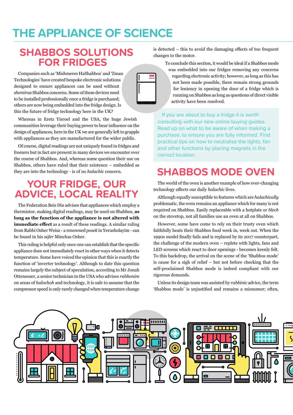#### **THE APPLIANCE OF SCIENCE**

#### **SHABBOS SOLUTIONS FOR FRIDGES**

Companies such as 'Mishmeres HaShabbos' and 'Zman Technologies' have created bespoke electronic solutions designed to ensure appliances can be used without *shemiras* Shabbos concerns. Some of these devices need to be installed professionally once a fridge is purchased; others are now being embedded into the fridge design. Is this the future of fridge technology here in the UK?

Whereas in Eretz Yisroel and the USA, the huge Jewish communities leverage their buying power to bear influence on the design of appliances, here in the UK we are generally left to grapple with appliances as they are manufactured for the wider public.

Of course, digital readings are not uniquely found in fridges and freezers but in fact are present in many devices we encounter over the course of Shabbos. And, whereas some question their use on Shabbos, others have ruled that their existence – embedded as they are into the technology - is of no *halachic* concern.

#### **YOUR FRIDGE, OUR ADVICE, LOCAL REALITY**

The Federation Beis Din advises that appliances which employ a thermistor, making digital readings, may be used on Shabbos, **as long as the function of the appliance is not altered with immediate effect** as a result of these readings. A similar ruling from Rabbi Osher Weisz - a renowned *posek* in Yerusholayim - can be found in his *sefer* Minchas Osher.

This ruling is helpful only once one can establish that the specific appliance does not immediately react in other ways when it detects temperature. Some have voiced the opinion that this is exactly the function of 'inverter technology'. Although to date this question remains largely the subject of speculation, according to Mr Jonah Ottensoser, a senior technician in the USA who advises *rabbonim* on areas of *halochoh* and technology, it is safe to assume that the compressor speed is only rarely changed when temperature change

is detected – this to avoid the damaging effects of too frequent changes to the motor.

To conclude this section, it would be ideal if a Shabbos mode

was embedded into our fridges removing any concerns regarding electronic activity; however, as long as this has not been made possible, there remain strong grounds for leniency in opening the door of a fridge which is running on Shabbos as long as questions of direct visible activity have been resolved.

If you are about to buy a fridge it is worth consulting with our new online buying guides. Read up on what to be aware of when making a purchase, to ensure you are fully informed. Find practical tips on how to neutralise the lights, fan and other functions by placing magnets in the correct location.

#### **SHABBOS MODE OVEN**

The world of the oven is another example of how ever-changing technology affects our daily *halachic* lives.

Although equally susceptible to features which are *halachically* problematic, the oven remains an appliance which for many is not required on Shabbos. Easily replaceable with a hotplate or *blech* on the stovetop, not all families use an oven at all on Shabbos.

However, some have come to rely on their trusty oven which faithfully heats their Shabbos food week in, week out. When the 1990s model finally fails and is replaced by its 2017 counterpart, the challenge of the modern oven – replete with lights, fans and LED screens which react to door openings - becomes keenly felt. To this backdrop, the arrival on the scene of the 'Shabbos mode' is cause for a sigh of relief – but not before checking that the self-proclaimed Shabbos mode is indeed compliant with our rigorous demands.

Unless its design team was assisted by *rabbinic* advice, the term 'Shabbos mode' is unjustified and remains a misnomer; often,